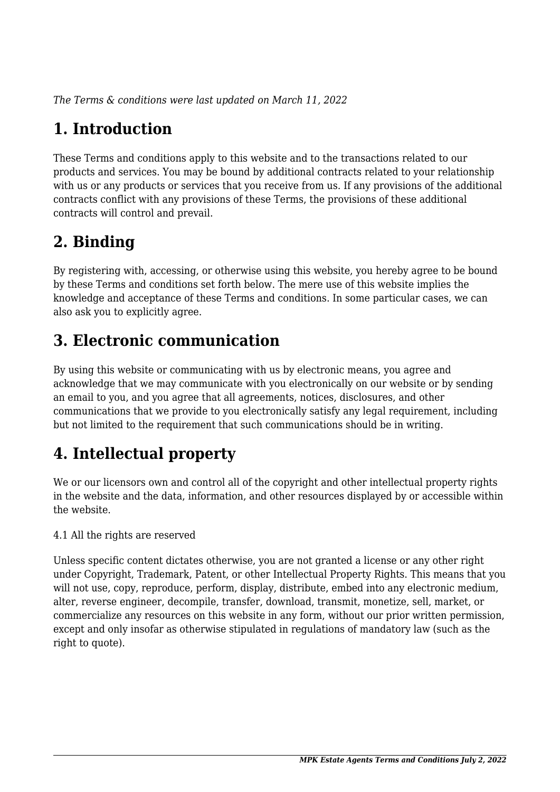*The Terms & conditions were last updated on March 11, 2022*

# **1. Introduction**

These Terms and conditions apply to this website and to the transactions related to our products and services. You may be bound by additional contracts related to your relationship with us or any products or services that you receive from us. If any provisions of the additional contracts conflict with any provisions of these Terms, the provisions of these additional contracts will control and prevail.

## **2. Binding**

By registering with, accessing, or otherwise using this website, you hereby agree to be bound by these Terms and conditions set forth below. The mere use of this website implies the knowledge and acceptance of these Terms and conditions. In some particular cases, we can also ask you to explicitly agree.

## **3. Electronic communication**

By using this website or communicating with us by electronic means, you agree and acknowledge that we may communicate with you electronically on our website or by sending an email to you, and you agree that all agreements, notices, disclosures, and other communications that we provide to you electronically satisfy any legal requirement, including but not limited to the requirement that such communications should be in writing.

# **4. Intellectual property**

We or our licensors own and control all of the copyright and other intellectual property rights in the website and the data, information, and other resources displayed by or accessible within the website.

4.1 All the rights are reserved

Unless specific content dictates otherwise, you are not granted a license or any other right under Copyright, Trademark, Patent, or other Intellectual Property Rights. This means that you will not use, copy, reproduce, perform, display, distribute, embed into any electronic medium, alter, reverse engineer, decompile, transfer, download, transmit, monetize, sell, market, or commercialize any resources on this website in any form, without our prior written permission, except and only insofar as otherwise stipulated in regulations of mandatory law (such as the right to quote).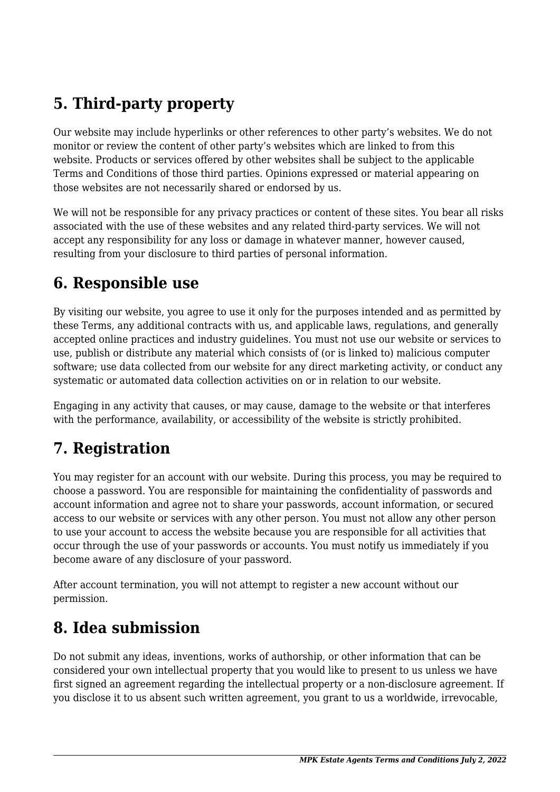## **5. Third-party property**

Our website may include hyperlinks or other references to other party's websites. We do not monitor or review the content of other party's websites which are linked to from this website. Products or services offered by other websites shall be subject to the applicable Terms and Conditions of those third parties. Opinions expressed or material appearing on those websites are not necessarily shared or endorsed by us.

We will not be responsible for any privacy practices or content of these sites. You bear all risks associated with the use of these websites and any related third-party services. We will not accept any responsibility for any loss or damage in whatever manner, however caused, resulting from your disclosure to third parties of personal information.

#### **6. Responsible use**

By visiting our website, you agree to use it only for the purposes intended and as permitted by these Terms, any additional contracts with us, and applicable laws, regulations, and generally accepted online practices and industry guidelines. You must not use our website or services to use, publish or distribute any material which consists of (or is linked to) malicious computer software; use data collected from our website for any direct marketing activity, or conduct any systematic or automated data collection activities on or in relation to our website.

Engaging in any activity that causes, or may cause, damage to the website or that interferes with the performance, availability, or accessibility of the website is strictly prohibited.

## **7. Registration**

You may register for an account with our website. During this process, you may be required to choose a password. You are responsible for maintaining the confidentiality of passwords and account information and agree not to share your passwords, account information, or secured access to our website or services with any other person. You must not allow any other person to use your account to access the website because you are responsible for all activities that occur through the use of your passwords or accounts. You must notify us immediately if you become aware of any disclosure of your password.

After account termination, you will not attempt to register a new account without our permission.

### **8. Idea submission**

Do not submit any ideas, inventions, works of authorship, or other information that can be considered your own intellectual property that you would like to present to us unless we have first signed an agreement regarding the intellectual property or a non-disclosure agreement. If you disclose it to us absent such written agreement, you grant to us a worldwide, irrevocable,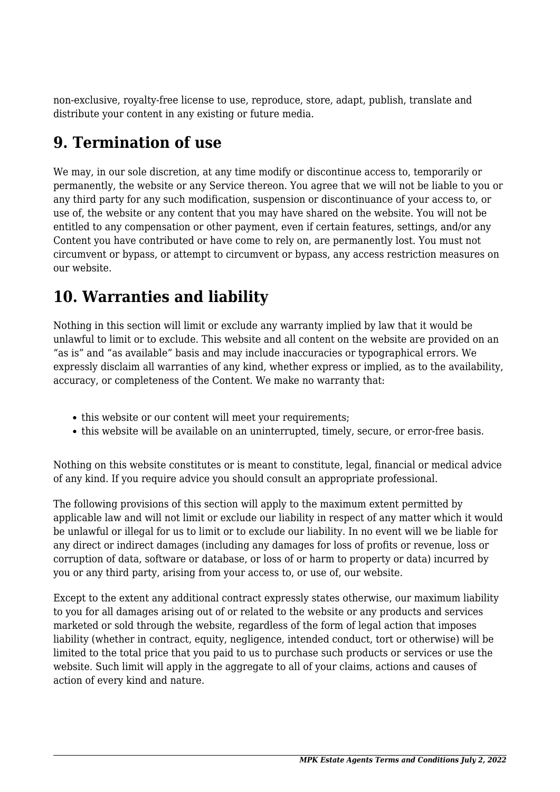non-exclusive, royalty-free license to use, reproduce, store, adapt, publish, translate and distribute your content in any existing or future media.

### **9. Termination of use**

We may, in our sole discretion, at any time modify or discontinue access to, temporarily or permanently, the website or any Service thereon. You agree that we will not be liable to you or any third party for any such modification, suspension or discontinuance of your access to, or use of, the website or any content that you may have shared on the website. You will not be entitled to any compensation or other payment, even if certain features, settings, and/or any Content you have contributed or have come to rely on, are permanently lost. You must not circumvent or bypass, or attempt to circumvent or bypass, any access restriction measures on our website.

## **10. Warranties and liability**

Nothing in this section will limit or exclude any warranty implied by law that it would be unlawful to limit or to exclude. This website and all content on the website are provided on an "as is" and "as available" basis and may include inaccuracies or typographical errors. We expressly disclaim all warranties of any kind, whether express or implied, as to the availability, accuracy, or completeness of the Content. We make no warranty that:

- this website or our content will meet your requirements;
- this website will be available on an uninterrupted, timely, secure, or error-free basis.

Nothing on this website constitutes or is meant to constitute, legal, financial or medical advice of any kind. If you require advice you should consult an appropriate professional.

The following provisions of this section will apply to the maximum extent permitted by applicable law and will not limit or exclude our liability in respect of any matter which it would be unlawful or illegal for us to limit or to exclude our liability. In no event will we be liable for any direct or indirect damages (including any damages for loss of profits or revenue, loss or corruption of data, software or database, or loss of or harm to property or data) incurred by you or any third party, arising from your access to, or use of, our website.

Except to the extent any additional contract expressly states otherwise, our maximum liability to you for all damages arising out of or related to the website or any products and services marketed or sold through the website, regardless of the form of legal action that imposes liability (whether in contract, equity, negligence, intended conduct, tort or otherwise) will be limited to the total price that you paid to us to purchase such products or services or use the website. Such limit will apply in the aggregate to all of your claims, actions and causes of action of every kind and nature.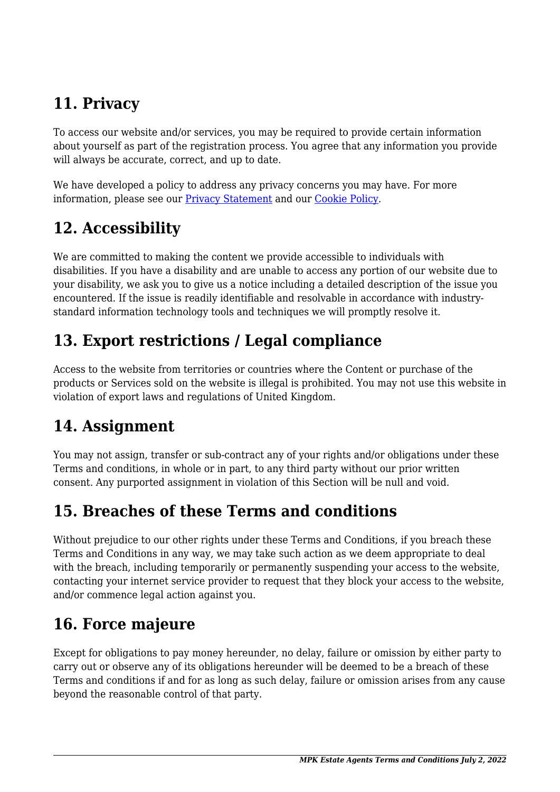# **11. Privacy**

To access our website and/or services, you may be required to provide certain information about yourself as part of the registration process. You agree that any information you provide will always be accurate, correct, and up to date.

We have developed a policy to address any privacy concerns you may have. For more information, please see our Privacy Statement and our Cookie Policy.

# **12. Accessibility**

We are committed to making the content we provide accessible to individuals with disabilities. If you have a disability and are unable to access any portion of our website due to your disability, we ask you to give us a notice including a detailed description of the issue you encountered. If the issue is readily identifiable and resolvable in accordance with industrystandard information technology tools and techniques we will promptly resolve it.

## **13. Export restrictions / Legal compliance**

Access to the website from territories or countries where the Content or purchase of the products or Services sold on the website is illegal is prohibited. You may not use this website in violation of export laws and regulations of United Kingdom.

## **14. Assignment**

You may not assign, transfer or sub-contract any of your rights and/or obligations under these Terms and conditions, in whole or in part, to any third party without our prior written consent. Any purported assignment in violation of this Section will be null and void.

## **15. Breaches of these Terms and conditions**

Without prejudice to our other rights under these Terms and Conditions, if you breach these Terms and Conditions in any way, we may take such action as we deem appropriate to deal with the breach, including temporarily or permanently suspending your access to the website, contacting your internet service provider to request that they block your access to the website, and/or commence legal action against you.

# **16. Force majeure**

Except for obligations to pay money hereunder, no delay, failure or omission by either party to carry out or observe any of its obligations hereunder will be deemed to be a breach of these Terms and conditions if and for as long as such delay, failure or omission arises from any cause beyond the reasonable control of that party.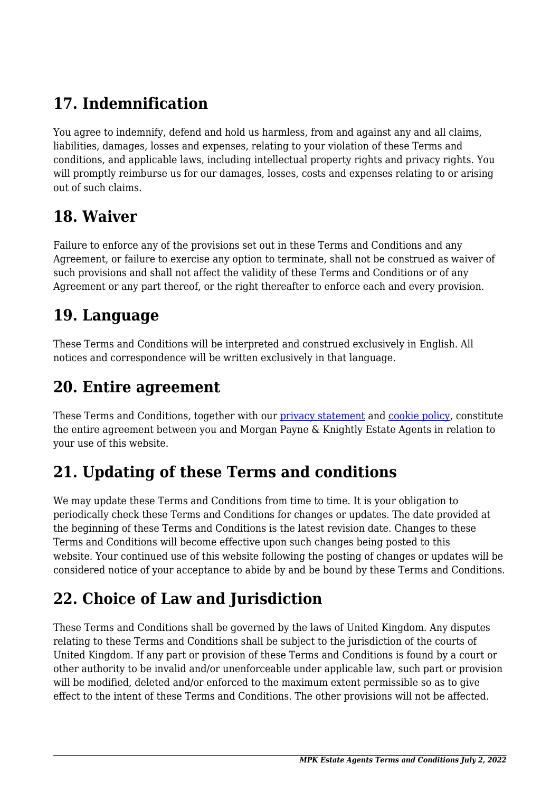# **17. Indemnification**

You agree to indemnify, defend and hold us harmless, from and against any and all claims, liabilities, damages, losses and expenses, relating to your violation of these Terms and conditions, and applicable laws, including intellectual property rights and privacy rights. You will promptly reimburse us for our damages, losses, costs and expenses relating to or arising out of such claims.

#### **18. Waiver**

Failure to enforce any of the provisions set out in these Terms and Conditions and any Agreement, or failure to exercise any option to terminate, shall not be construed as waiver of such provisions and shall not affect the validity of these Terms and Conditions or of any Agreement or any part thereof, or the right thereafter to enforce each and every provision.

#### **19. Language**

These Terms and Conditions will be interpreted and construed exclusively in English. All notices and correspondence will be written exclusively in that language.

#### **20. Entire agreement**

These Terms and Conditions, together with our *privacy statement* and *cookie policy*, constitute the entire agreement between you and Morgan Payne & Knightly Estate Agents in relation to your use of this website.

## **21. Updating of these Terms and conditions**

We may update these Terms and Conditions from time to time. It is your obligation to periodically check these Terms and Conditions for changes or updates. The date provided at the beginning of these Terms and Conditions is the latest revision date. Changes to these Terms and Conditions will become effective upon such changes being posted to this website. Your continued use of this website following the posting of changes or updates will be considered notice of your acceptance to abide by and be bound by these Terms and Conditions.

## **22. Choice of Law and Jurisdiction**

These Terms and Conditions shall be governed by the laws of United Kingdom. Any disputes relating to these Terms and Conditions shall be subject to the jurisdiction of the courts of United Kingdom. If any part or provision of these Terms and Conditions is found by a court or other authority to be invalid and/or unenforceable under applicable law, such part or provision will be modified, deleted and/or enforced to the maximum extent permissible so as to give effect to the intent of these Terms and Conditions. The other provisions will not be affected.